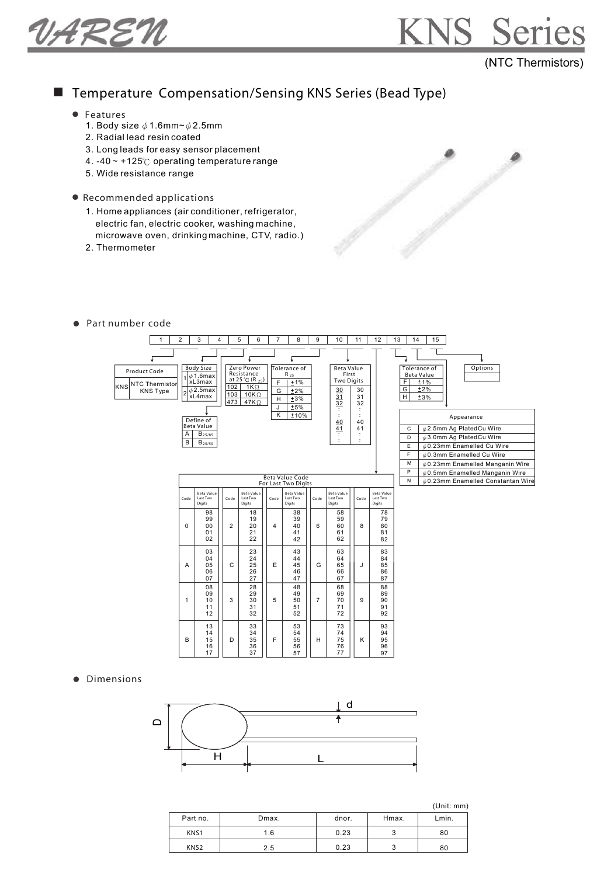VAREN



### ■ Temperature Compensation/Sensing KNS Series (Bead Type)

- Features
	- 1. Body size  $\phi$  1.6mm~  $\phi$  2.5mm
	- 2. Radial lead resin coated
	- 3. Long leads for easy sensor placement
	- 4. -40  $\sim$  +125 $\degree$ C operating temperature range
	- 5. Wide resistance range
- Recommended applications
	- 1. Home appliances (air conditioner, refrigerator, electric fan, electric cooker, washing machine, microwave oven, drinking machine, CTV, radio.)
	- 2. Thermometer
- Part number code



**·** Dimensions



56 57

76 77

96 97

36 37

16 17

(Unit: mm)

| Part no.         | Dmax. | dnor. | Hmax. | Lmin. |
|------------------|-------|-------|-------|-------|
| KNS1             | 1.6   | 0.23  |       | 80    |
| KNS <sub>2</sub> | 2.5   | 0.23  |       | 80    |



KNS S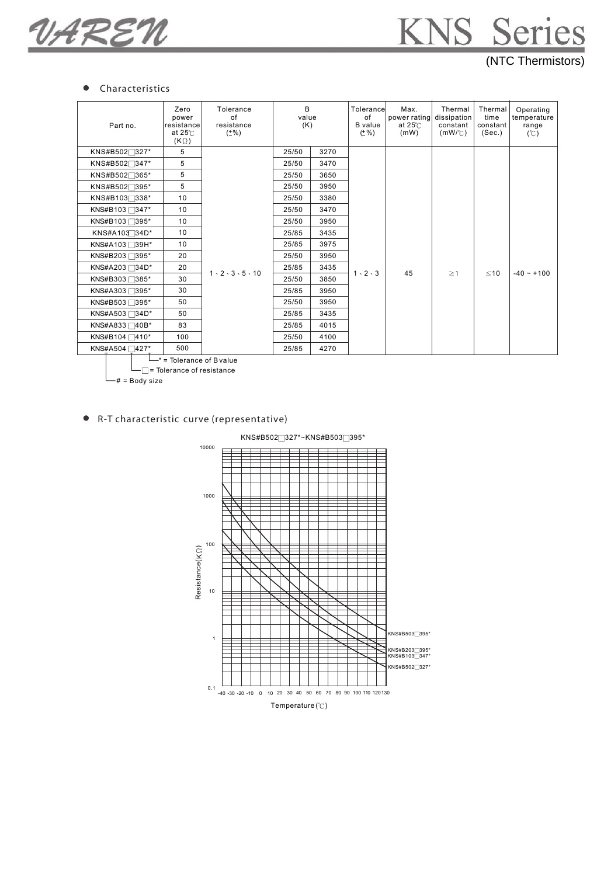VAREN

## KNS Series (NTC Thermistors)

#### $\bullet$ Characteristics

| Part no.                               | Zero<br>power<br>resistance<br>at $25^\circ$<br>$(K \Omega)$ | Tolerance<br>of<br>resistance<br>$(\pm\%)$ | R.<br>value<br>(K) |      | Tolerancel<br>of<br><b>B</b> value<br>$(\pm \% )$ | Max.<br>power rating dissipation<br>at $25^\circ$<br>(mW) | Thermal<br>constant<br>$(mW/\mathcal{C})$ | Thermal<br>time<br>constant<br>(Sec.) | Operating<br>temperature<br>range<br>(C) |
|----------------------------------------|--------------------------------------------------------------|--------------------------------------------|--------------------|------|---------------------------------------------------|-----------------------------------------------------------|-------------------------------------------|---------------------------------------|------------------------------------------|
| KNS#B502 <sup>327*</sup>               | 5                                                            |                                            | 25/50              | 3270 |                                                   |                                                           |                                           |                                       |                                          |
| KNS#B502 <sup>1347*</sup>              | 5                                                            |                                            | 25/50              | 3470 |                                                   |                                                           |                                           |                                       |                                          |
| KNS#B502 <sup>365*</sup>               | 5                                                            |                                            | 25/50              | 3650 |                                                   | 45                                                        | $\geq$ 1                                  | $≤10$                                 | $-40 - +100$                             |
| KNS#B502 <sup>395*</sup>               | 5                                                            |                                            | 25/50              | 3950 |                                                   |                                                           |                                           |                                       |                                          |
| KNS#B103 <sup>338*</sup>               | 10                                                           |                                            | 25/50              | 3380 |                                                   |                                                           |                                           |                                       |                                          |
| KNS#B103 <sup>2</sup> 347 <sup>*</sup> | 10                                                           |                                            | 25/50              | 3470 | $1 \cdot 2 \cdot 3$                               |                                                           |                                           |                                       |                                          |
| KNS#B103 <sup>2</sup> 395*             | 10                                                           |                                            | 25/50              | 3950 |                                                   |                                                           |                                           |                                       |                                          |
| KNS#A103 34D*                          | 10                                                           |                                            | 25/85              | 3435 |                                                   |                                                           |                                           |                                       |                                          |
| KNS#A103 □39H*                         | 10                                                           |                                            | 25/85              | 3975 |                                                   |                                                           |                                           |                                       |                                          |
| KNS#B203 <sup>395*</sup>               | 20                                                           |                                            | 25/50              | 3950 |                                                   |                                                           |                                           |                                       |                                          |
| KNS#A203 <sup>34D*</sup>               | 20                                                           | $1 \cdot 2 \cdot 3 \cdot 5 \cdot 10$       | 25/85              | 3435 |                                                   |                                                           |                                           |                                       |                                          |
| KNS#B303 <sup>385*</sup>               | 30                                                           |                                            | 25/50              | 3850 |                                                   |                                                           |                                           |                                       |                                          |
| KNS#A303 <sup>395*</sup>               | 30                                                           |                                            | 25/85              | 3950 |                                                   |                                                           |                                           |                                       |                                          |
| KNS#B503 <sup>395*</sup>               | 50                                                           |                                            | 25/50              | 3950 |                                                   |                                                           |                                           |                                       |                                          |
| KNS#A503 <sup>34D*</sup>               | 50                                                           |                                            | 25/85              | 3435 |                                                   |                                                           |                                           |                                       |                                          |
| KNS#A833 <sup>1</sup> 40B <sup>*</sup> | 83                                                           |                                            | 25/85              | 4015 |                                                   |                                                           |                                           |                                       |                                          |
| KNS#B104 410*                          | 100                                                          |                                            | 25/50              | 4100 |                                                   |                                                           |                                           |                                       |                                          |
| KNS#A504 427*                          | 500                                                          |                                            | 25/85              | 4270 |                                                   |                                                           |                                           |                                       |                                          |
| $-$ * = Tolerance of B value           |                                                              |                                            |                    |      |                                                   |                                                           |                                           |                                       |                                          |

= Tolerance of resistance

# = Body size

R-T characteristic curve (representative)